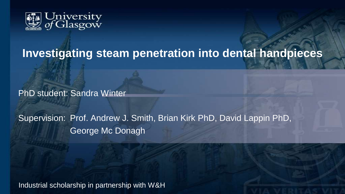

# **Investigating steam penetration into dental handpieces**

PhD student: Sandra Winter

Supervision: Prof. Andrew J. Smith, Brian Kirk PhD, David Lappin PhD, George Mc Donagh

Industrial scholarship in partnership with W&H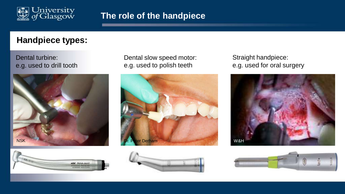

## **Handpiece types:**

Dental turbine: e.g. used to drill tooth





Dental slow speed motor: e.g. used to polish teeth





Straight handpiece: e.g. used for oral surgery



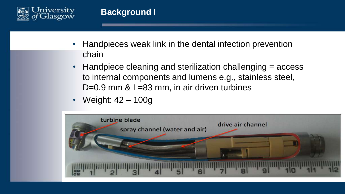

- Handpieces weak link in the dental infection prevention chain
- Handpiece cleaning and sterilization challenging = access to internal components and lumens e.g., stainless steel, D=0.9 mm & L=83 mm, in air driven turbines
- Weight: 42 100g

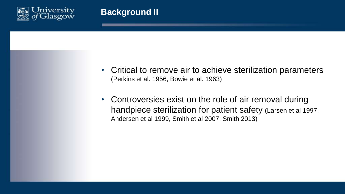

- Critical to remove air to achieve sterilization parameters (Perkins et al. 1956, Bowie et al. 1963)
- Controversies exist on the role of air removal during handpiece sterilization for patient safety (Larsen et al 1997, Andersen et al 1999, Smith et al 2007; Smith 2013)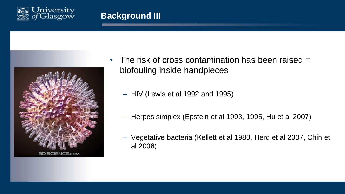

## **Background III**



- The risk of cross contamination has been raised = biofouling inside handpieces
	- HIV (Lewis et al 1992 and 1995)
	- Herpes simplex (Epstein et al 1993, 1995, Hu et al 2007)
	- Vegetative bacteria (Kellett et al 1980, Herd et al 2007, Chin et al 2006)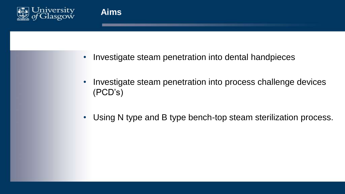

**Aims**

- Investigate steam penetration into dental handpieces
- Investigate steam penetration into process challenge devices (PCD's)
- Using N type and B type bench-top steam sterilization process.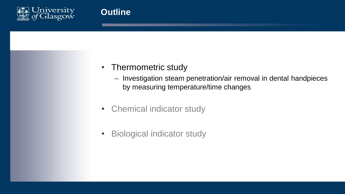

## • Thermometric study

- Investigation steam penetration/air removal in dental handpieces by measuring temperature/time changes
- Chemical indicator study
- Biological indicator study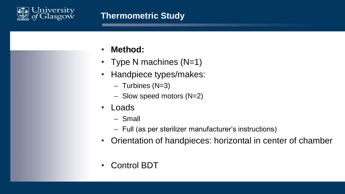

## **Thermometric Study**

- **Method:**
- Type N machines (N=1)
- Handpiece types/makes:
	- Turbines (N=3)
	- Slow speed motors (N=2)
- **Loads** 
	- Small
	- Full (as per sterilizer manufacturer's instructions)
- Orientation of handpieces: horizontal in center of chamber
- Control BDT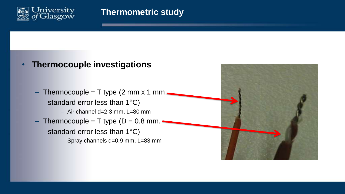

## • **Thermocouple investigations**

– Thermocouple = T type (2 mm x 1 mm, $\blacksquare$ standard error less than 1°C) – Air channel d=2.3 mm, L=80 mm – Thermocouple = T type  $(D = 0.8$  mm, standard error less than 1°C)

– Spray channels d=0.9 mm, L=83 mm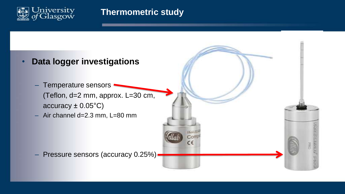

## **Thermometric study**

- **Data logger investigations**
	- Temperature sensors (Teflon, d=2 mm, approx. L=30 cm,  $accuracy \pm 0.05^{\circ}C)$
	- Air channel d=2.3 mm, L=80 mm

– Pressure sensors (accuracy 0.25%)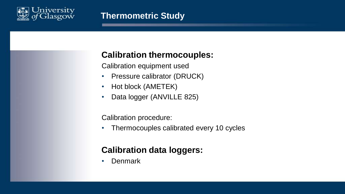

# **Calibration thermocouples:**

Calibration equipment used

- Pressure calibrator (DRUCK)
- Hot block (AMETEK)
- Data logger (ANVILLE 825)

Calibration procedure:

• Thermocouples calibrated every 10 cycles

# **Calibration data loggers:**

• Denmark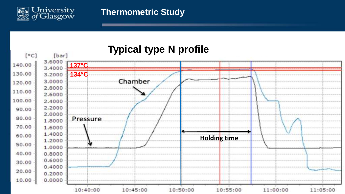

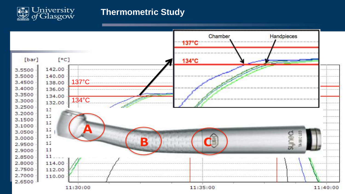

## **Thermometric Study**

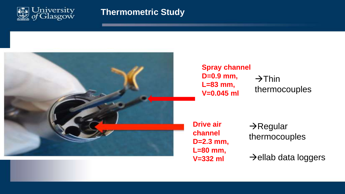

## **Thermometric Study**



**Spray channel D=0.9 mm, L=83 mm, V=0.045 ml**

 $\rightarrow$ Thin thermocouples

**Drive air channel D=2.3 mm, L=80 mm, V=332 ml**

 $\rightarrow$ Regular thermocouples

 $\rightarrow$ ellab data loggers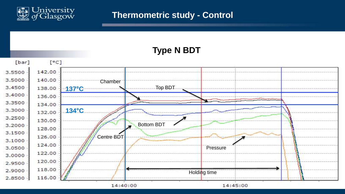

## **Thermometric study - Control**

**Type N BDT**  [bar]  $[°C]$ 142.00 3.5500 3.5000 140.00 Chamber Top BDT 3.4500 138.00 **137°C** 3,4000 136.00 3.3500 134.00 **134°C** 3.3000 132.00 3.2500 130.00 Bottom BDT 3.2000  $\overline{\mathbf{z}}$ 128.00 3.1500 Centre BDT 126.00 3.1000 124.00 3.0500 Pressure 122.00 3.0000 120.00 2.9500 118.00 2.9000 Holding time 2.8500 116.00 14:40:00 14:45:00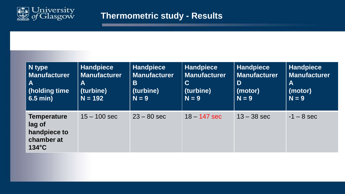

# **Thermometric study - Results**

| $\vert$ N type                                                                | <b>Handpiece</b>    | Handpiece           | Handpiece           | <b>Handpiece</b>    | <b>Handpiece</b>    |
|-------------------------------------------------------------------------------|---------------------|---------------------|---------------------|---------------------|---------------------|
| Manufacturer                                                                  | <b>Manufacturer</b> | <b>Manufacturer</b> | <b>Manufacturer</b> | <b>Manufacturer</b> | <b>Manufacturer</b> |
| A                                                                             | A                   | B                   | $\mathbf C$         | D                   | $\mathbf A$         |
| (holding time                                                                 | (turbine)           | (turbine)           | (turbine)           | (motor)             | (motor)             |
| $6.5$ min)                                                                    | $N = 192$           | $N = 9$             | $N = 9$             | $N = 9$             | $N = 9$             |
| <b>Temperature</b><br>lag of<br>handpiece to<br>chamber at<br>$134^{\circ}$ C | $15 - 100$ sec      | $23 - 80$ sec       | $18 - 147$ sec      | $13 - 38$ sec       | $-1 - 8$ sec        |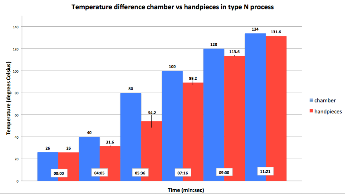### Temperature difference chamber vs handpieces in type N process



#### Time (min:sec)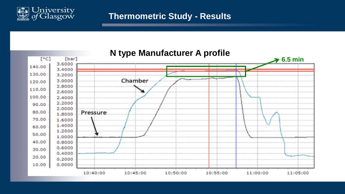

## **Thermometric Study - Results**

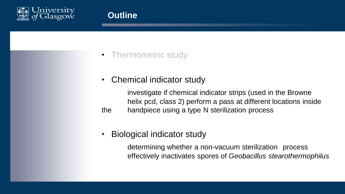

- Thermometric study
- Chemical indicator study

investigate if chemical indicator strips (used in the Browne helix pcd, class 2) perform a pass at different locations inside the handpiece using a type N sterilization process

• Biological indicator study

determining whether a non-vacuum sterilization process effectively inactivates spores of *Geobacillus stearothermophilus*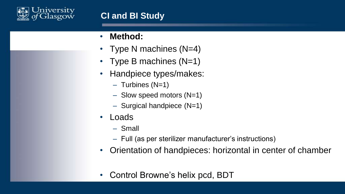

- **Method:**
- Type N machines (N=4)
- Type B machines (N=1)
- Handpiece types/makes:
	- $-$  Turbines (N=1)
	- Slow speed motors (N=1)
	- Surgical handpiece (N=1)
- **Loads** 
	- Small
	- Full (as per sterilizer manufacturer's instructions)
- Orientation of handpieces: horizontal in center of chamber
- Control Browne's helix pcd, BDT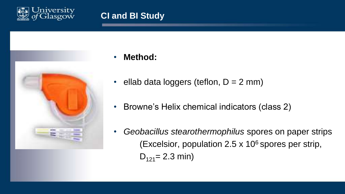



- **Method:**
- ellab data loggers (teflon,  $D = 2$  mm)
- Browne's Helix chemical indicators (class 2)
- *Geobacillus stearothermophilus* spores on paper strips (Excelsior, population  $2.5 \times 10^6$  spores per strip,  $D_{121} = 2.3$  min)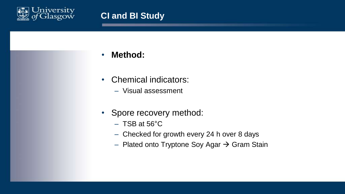

- **Method:**
- Chemical indicators:
	- Visual assessment
- Spore recovery method:
	- $-$  TSB at 56 $^{\circ}$ C
	- Checked for growth every 24 h over 8 days
	- Plated onto Tryptone Soy Agar  $\rightarrow$  Gram Stain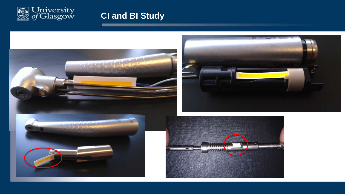

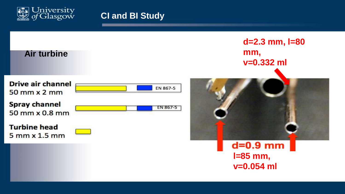



 $d = 0.9$  mm **l=85 mm, v=0.054 ml**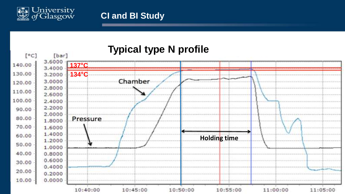

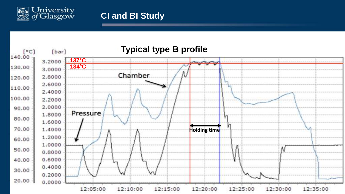

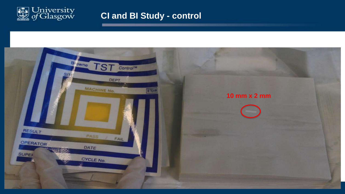

## **CI and BI Study - control**

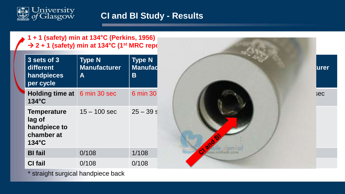

## **CI and BI Study - Results**

**1 + 1 (safety) min at 134°C (Perkins, 1956)** → 2 + 1 (safety) min at 134°C (1<sup>st</sup> MRC repo

| 3 sets of 3<br>different<br>handpieces<br>per cycle                           | <b>Type N</b><br><b>Manufacturer</b><br>A | <b>Type N</b><br><b>Manufad</b><br>Β |
|-------------------------------------------------------------------------------|-------------------------------------------|--------------------------------------|
| Holding time at<br>$134^{\circ}$ C                                            | 6 min 30 sec                              | 6 min 30                             |
| <b>Temperature</b><br>lag of<br>handpiece to<br>chamber at<br>$134^{\circ}$ C | $15 - 100$ sec                            | $25 - 39s$                           |
| <b>BI</b> fail                                                                | 0/108                                     | 1/108                                |
| <b>CI</b> fail                                                                | 0/108                                     | 0/108                                |



\* straight surgical handpiece back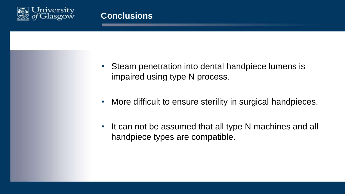

- Steam penetration into dental handpiece lumens is impaired using type N process.
- More difficult to ensure sterility in surgical handpieces.
- It can not be assumed that all type N machines and all handpiece types are compatible.